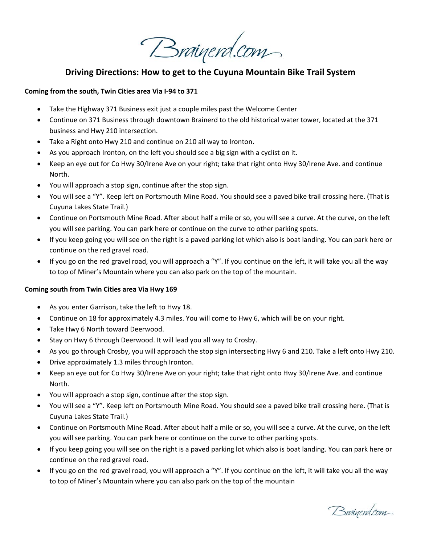Brainerd.com

## **Driving Directions: How to get to the Cuyuna Mountain Bike Trail System**

## **Coming from the south, Twin Cities area Via I‐94 to 371**

- Take the Highway 371 Business exit just a couple miles past the Welcome Center
- Continue on 371 Business through downtown Brainerd to the old historical water tower, located at the 371 business and Hwy 210 intersection.
- Take a Right onto Hwy 210 and continue on 210 all way to Ironton.
- As you approach Ironton, on the left you should see a big sign with a cyclist on it.
- Keep an eye out for Co Hwy 30/Irene Ave on your right; take that right onto Hwy 30/Irene Ave. and continue North.
- You will approach a stop sign, continue after the stop sign.
- You will see a "Y". Keep left on Portsmouth Mine Road. You should see a paved bike trail crossing here. (That is Cuyuna Lakes State Trail.)
- Continue on Portsmouth Mine Road. After about half a mile or so, you will see a curve. At the curve, on the left you will see parking. You can park here or continue on the curve to other parking spots.
- If you keep going you will see on the right is a paved parking lot which also is boat landing. You can park here or continue on the red gravel road.
- If you go on the red gravel road, you will approach a "Y". If you continue on the left, it will take you all the way to top of Miner's Mountain where you can also park on the top of the mountain.

## **Coming south from Twin Cities area Via Hwy 169**

- As you enter Garrison, take the left to Hwy 18.
- Continue on 18 for approximately 4.3 miles. You will come to Hwy 6, which will be on your right.
- Take Hwy 6 North toward Deerwood.
- Stay on Hwy 6 through Deerwood. It will lead you all way to Crosby.
- As you go through Crosby, you will approach the stop sign intersecting Hwy 6 and 210. Take a left onto Hwy 210.
- Drive approximately 1.3 miles through Ironton.
- Keep an eye out for Co Hwy 30/Irene Ave on your right; take that right onto Hwy 30/Irene Ave. and continue North.
- You will approach a stop sign, continue after the stop sign.
- You will see a "Y". Keep left on Portsmouth Mine Road. You should see a paved bike trail crossing here. (That is Cuyuna Lakes State Trail.)
- Continue on Portsmouth Mine Road. After about half a mile or so, you will see a curve. At the curve, on the left you will see parking. You can park here or continue on the curve to other parking spots.
- If you keep going you will see on the right is a paved parking lot which also is boat landing. You can park here or continue on the red gravel road.
- If you go on the red gravel road, you will approach a "Y". If you continue on the left, it will take you all the way to top of Miner's Mountain where you can also park on the top of the mountain

Brainerd.com